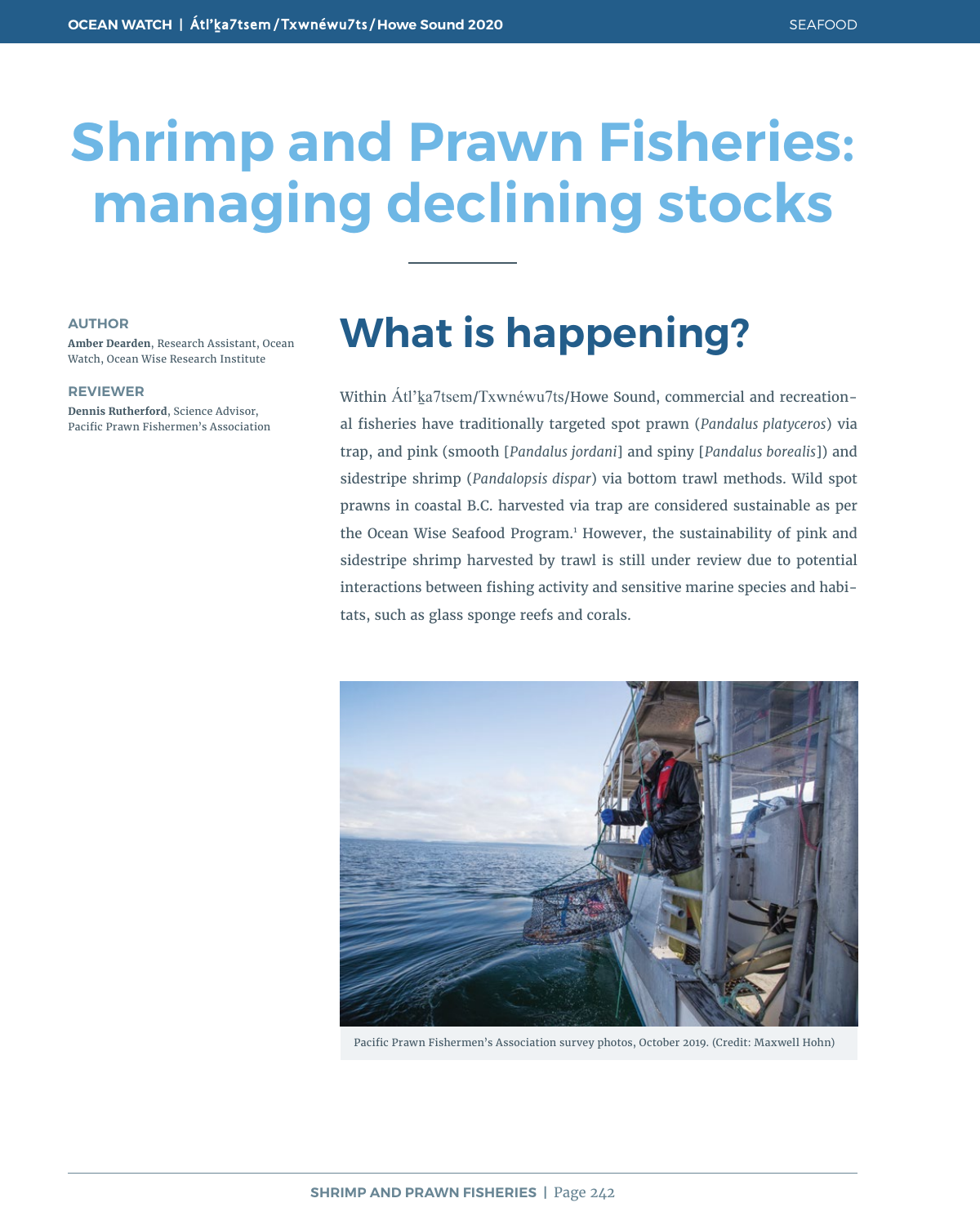# **Shrimp and Prawn Fisheries: managing declining stocks**

#### **AUTHOR**

**Amber Dearden**, Research Assistant, Ocean Watch, Ocean Wise Research Institute

#### **REVIEWER**

**Dennis Rutherford**, Science Advisor, Pacific Prawn Fishermen's Association

### **What is happening?**

Within Átl'ka7tsem/Txwnéwu7ts/Howe Sound, commercial and recreational fisheries have traditionally targeted spot prawn (*Pandalus platyceros*) via trap, and pink (smooth [*Pandalus jordani*] and spiny [*Pandalus borealis*]) and sidestripe shrimp (*Pandalopsis dispar*) via bottom trawl methods. Wild spot prawns in coastal B.C. harvested via trap are considered sustainable as per the Ocean Wise Seafood Program.<sup>1</sup> However, the sustainability of pink and sidestripe shrimp harvested by trawl is still under review due to potential interactions between fishing activity and sensitive marine species and habitats, such as glass sponge reefs and corals.



Pacific Prawn Fishermen's Association survey photos, October 2019. (Credit: Maxwell Hohn)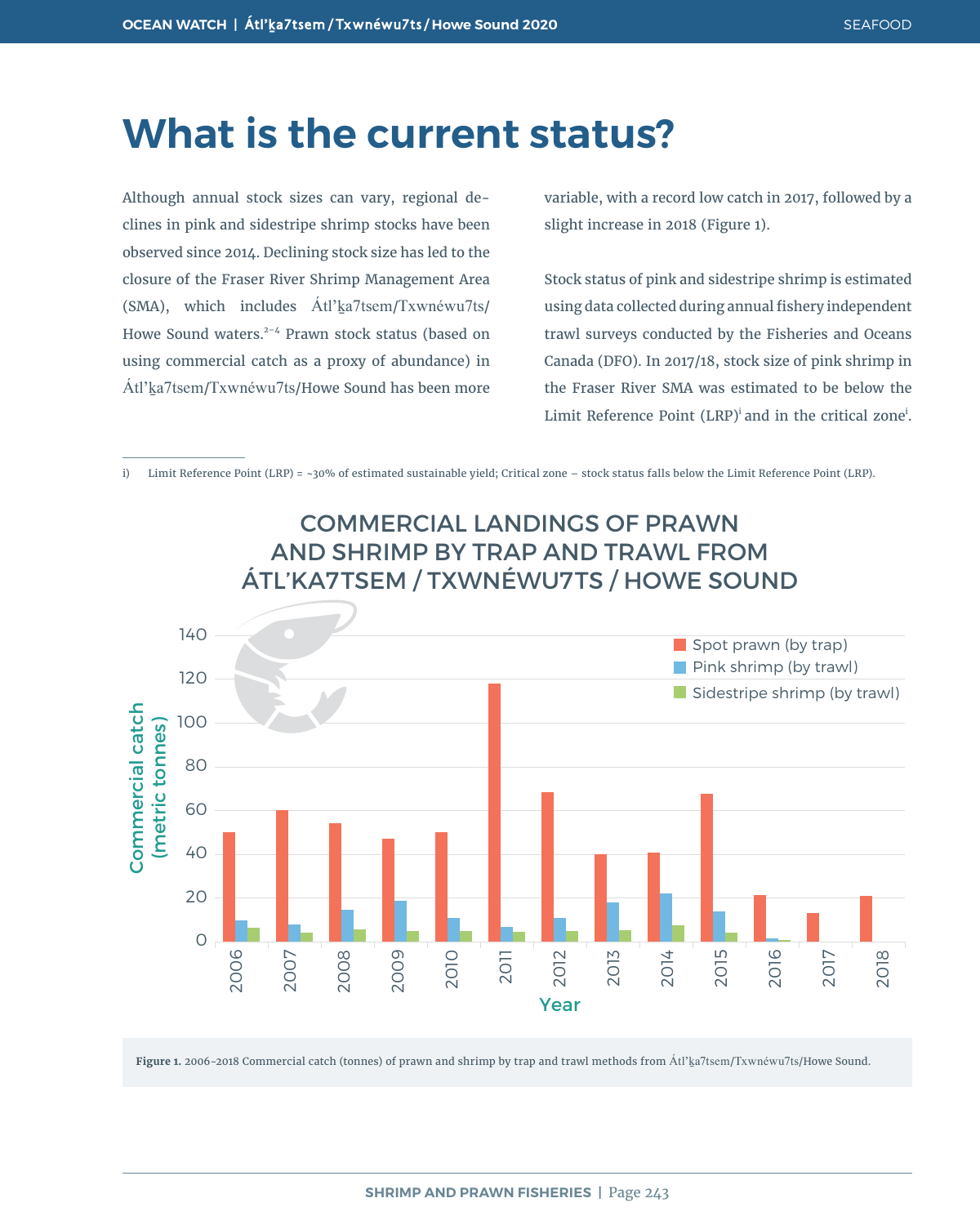### **What is the current status?**

Although annual stock sizes can vary, regional declines in pink and sidestripe shrimp stocks have been observed since 2014. Declining stock size has led to the closure of the Fraser River Shrimp Management Area (SMA), which includes  $\text{Atl'ka7}$ tsem/Txwnéwu7ts/ Howe Sound waters.<sup>2-4</sup> Prawn stock status (based on using commercial catch as a proxy of abundance) in Átl'ḵa7tsem/Txwnéwu7ts/Howe Sound has been more variable, with a record low catch in 2017, followed by a slight increase in 2018 (Figure 1).

Stock status of pink and sidestripe shrimp is estimated using data collected during annual fishery independent trawl surveys conducted by the Fisheries and Oceans Canada (DFO). In 2017/18, stock size of pink shrimp in the Fraser River SMA was estimated to be below the Limit Reference Point (LRP)<sup>i</sup> and in the critical zone<sup>i</sup>.

i) Limit Reference Point (LRP) = ~30% of estimated sustainable yield; Critical zone – stock status falls below the Limit Reference Point (LRP).



**Figure 1.** 2006-2018 Commercial catch (tonnes) of prawn and shrimp by trap and trawl methods from Átl'ḵa7tsem/Txwnéwu7ts/Howe Sound.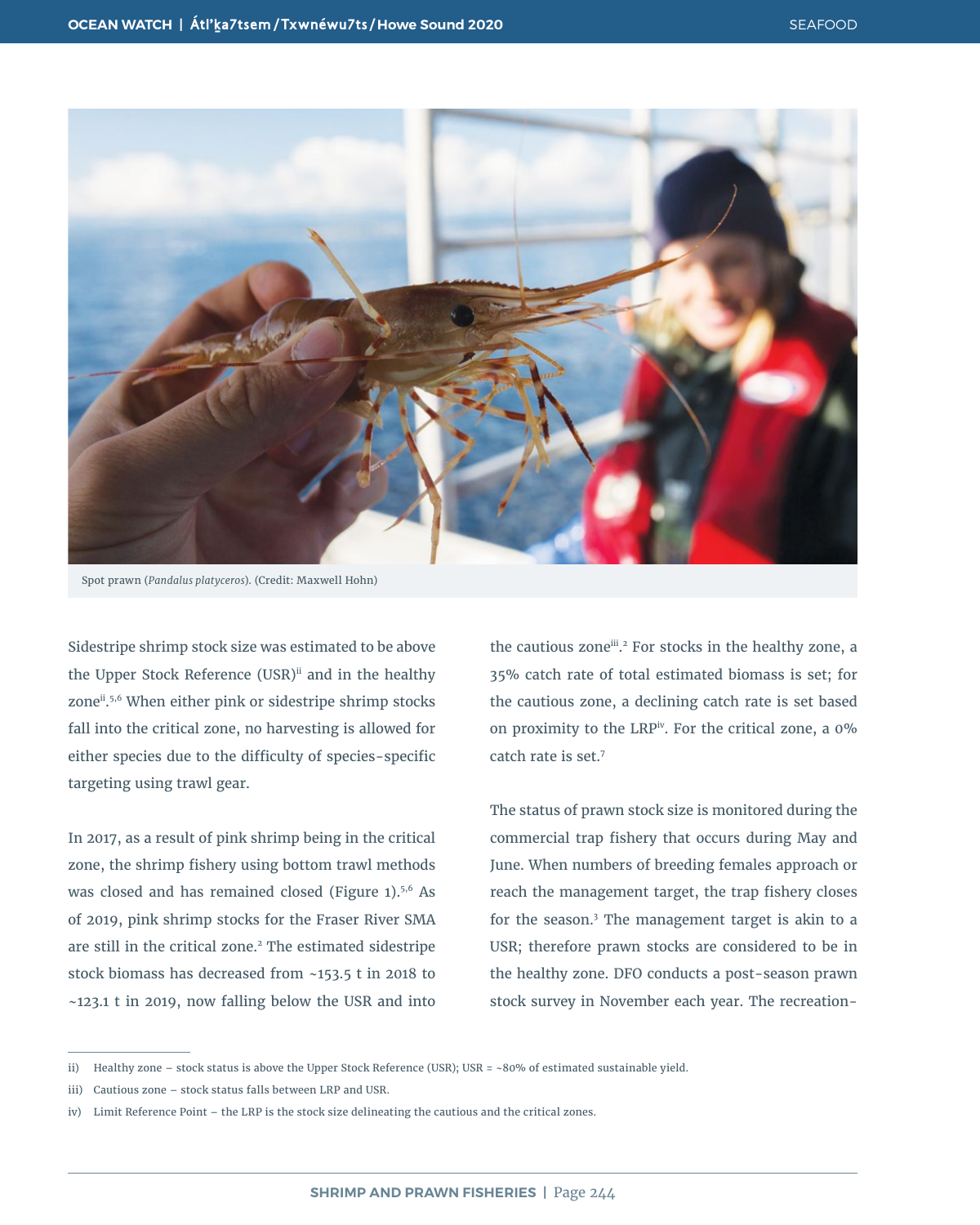

Spot prawn (*Pandalus platyceros*). (Credit: Maxwell Hohn)

Sidestripe shrimp stock size was estimated to be above the Upper Stock Reference (USR)<sup>ii</sup> and in the healthy zone<sup>ii</sup>.<sup>5,6</sup> When either pink or sidestripe shrimp stocks fall into the critical zone, no harvesting is allowed for either species due to the difficulty of species-specific targeting using trawl gear.

In 2017, as a result of pink shrimp being in the critical zone, the shrimp fishery using bottom trawl methods was closed and has remained closed (Figure  $1$ ).<sup>5,6</sup> As of 2019, pink shrimp stocks for the Fraser River SMA are still in the critical zone.<sup>2</sup> The estimated sidestripe stock biomass has decreased from ~153.5 t in 2018 to ~123.1 t in 2019, now falling below the USR and into

the cautious zone<sup>iii</sup>.<sup>2</sup> For stocks in the healthy zone, a 35% catch rate of total estimated biomass is set; for the cautious zone, a declining catch rate is set based on proximity to the LRP<sup>iv</sup>. For the critical zone, a  $0\%$ catch rate is set.7

The status of prawn stock size is monitored during the commercial trap fishery that occurs during May and June. When numbers of breeding females approach or reach the management target, the trap fishery closes for the season.3 The management target is akin to a USR; therefore prawn stocks are considered to be in the healthy zone. DFO conducts a post-season prawn stock survey in November each year. The recreation-

ii) Healthy zone – stock status is above the Upper Stock Reference (USR); USR = ~80% of estimated sustainable yield.

iii) Cautious zone – stock status falls between LRP and USR.

iv) Limit Reference Point – the LRP is the stock size delineating the cautious and the critical zones.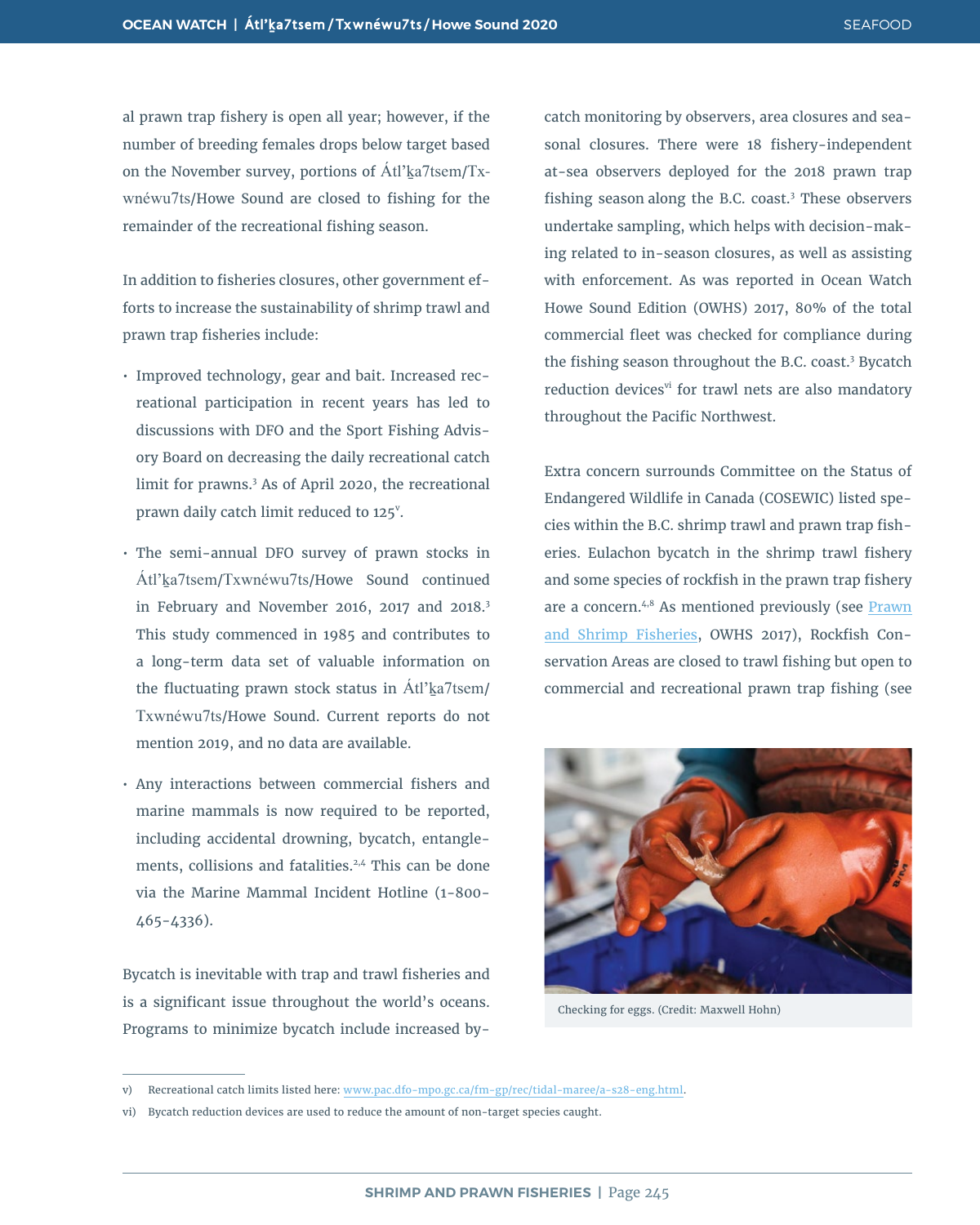al prawn trap fishery is open all year; however, if the number of breeding females drops below target based on the November survey, portions of  $\text{Atl}'\text{ka7tsem/Tx-}$ wnéwu7ts/Howe Sound are closed to fishing for the remainder of the recreational fishing season.

In addition to fisheries closures, other government efforts to increase the sustainability of shrimp trawl and prawn trap fisheries include:

- Improved technology, gear and bait. Increased recreational participation in recent years has led to discussions with DFO and the Sport Fishing Advisory Board on decreasing the daily recreational catch limit for prawns.3 As of April 2020, the recreational prawn daily catch limit reduced to 125<sup>v</sup>.
- The semi-annual DFO survey of prawn stocks in Átl'ḵa7tsem/Txwnéwu7ts/Howe Sound continued in February and November 2016, 2017 and 2018.<sup>3</sup> This study commenced in 1985 and contributes to a long-term data set of valuable information on the fluctuating prawn stock status in  $\text{Atl}'\text{ka7}$ tsem/ Txwnéwu7ts/Howe Sound. Current reports do not mention 2019, and no data are available.
- Any interactions between commercial fishers and marine mammals is now required to be reported, including accidental drowning, bycatch, entanglements, collisions and fatalities.<sup>2,4</sup> This can be done via the Marine Mammal Incident Hotline (1-800- 465-4336).

Bycatch is inevitable with trap and trawl fisheries and is a significant issue throughout the world's oceans. Programs to minimize bycatch include increased bycatch monitoring by observers, area closures and seasonal closures. There were 18 fishery-independent at-sea observers deployed for the 2018 prawn trap fishing season along the B.C. coast.<sup>3</sup> These observers undertake sampling, which helps with decision-making related to in-season closures, as well as assisting with enforcement. As was reported in Ocean Watch Howe Sound Edition (OWHS) 2017, 80% of the total commercial fleet was checked for compliance during the fishing season throughout the B.C. coast.<sup>3</sup> Bycatch reduction devices<sup>vi</sup> for trawl nets are also mandatory throughout the Pacific Northwest.

Extra concern surrounds Committee on the Status of Endangered Wildlife in Canada (COSEWIC) listed species within the B.C. shrimp trawl and prawn trap fisheries. Eulachon bycatch in the shrimp trawl fishery and some species of rockfish in the prawn trap fishery are a concern.<sup>4,8</sup> As mentioned previously (see Prawn [and Shrimp Fisheries](https://oceanwatch.ca/howesound/wp-content/uploads/sites/2/2016/12/OceanWatch-HoweSoundReport-PrawnAndShrimpFisheries.pdf), OWHS 2017), Rockfish Conservation Areas are closed to trawl fishing but open to commercial and recreational prawn trap fishing (see



Checking for eggs. (Credit: Maxwell Hohn)

v) [Recreational catch limits listed here: www.pac.dfo-mpo.gc.ca/fm-gp/rec/tidal-maree/a-s28-eng.html.](http://www.pac.dfo-mpo.gc.ca/fm-gp/rec/tidal-maree/a-s28-eng.html)

vi) Bycatch reduction devices are used to reduce the amount of non-target species caught.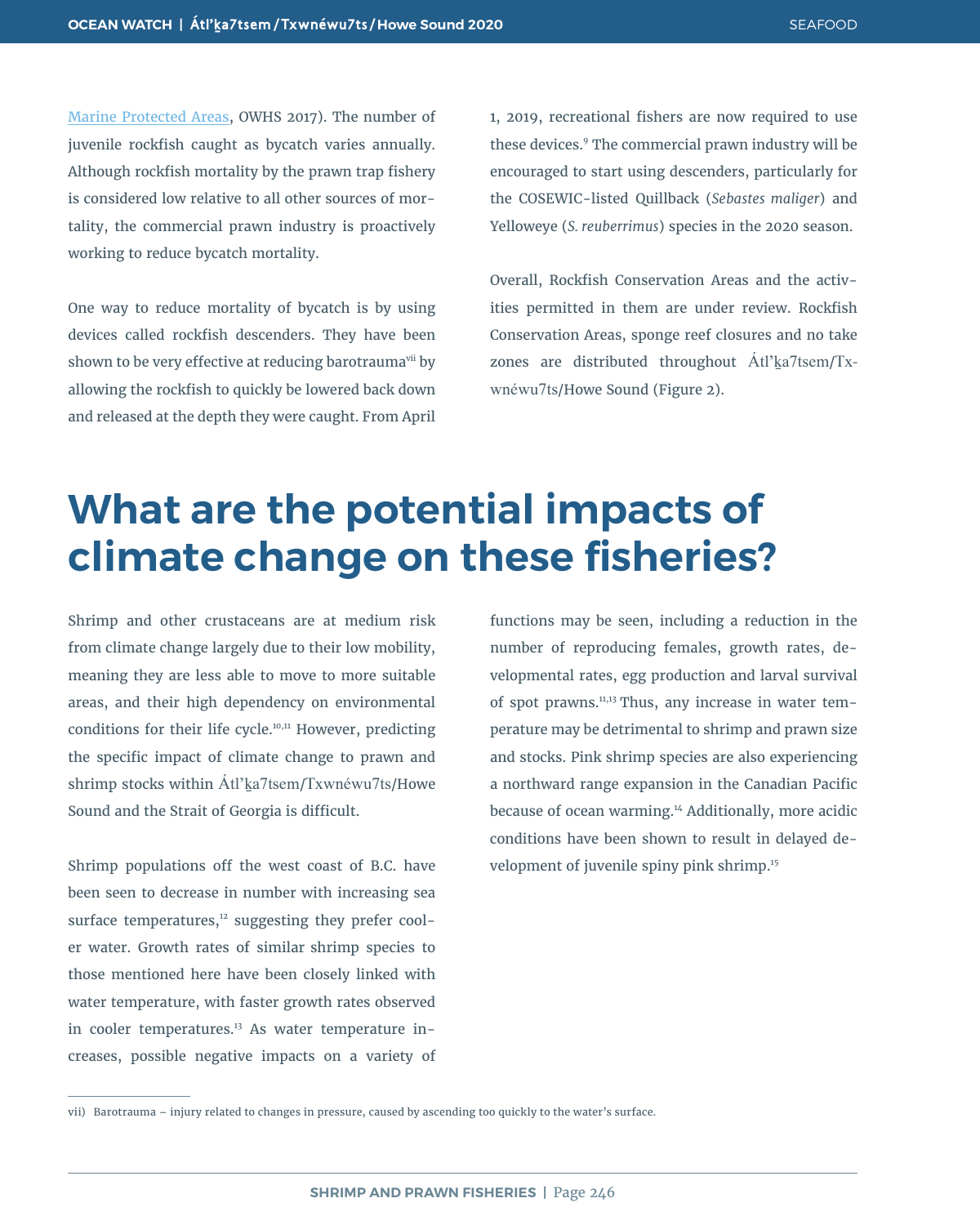[Marine Protected Areas,](https://oceanwatch.ca/howesound/wp-content/uploads/sites/2/2016/12/OceanWatch-HoweSoundReport-MarineProtectedAreas.pdf) OWHS 2017). The number of juvenile rockfish caught as bycatch varies annually. Although rockfish mortality by the prawn trap fishery is considered low relative to all other sources of mortality, the commercial prawn industry is proactively working to reduce bycatch mortality.

One way to reduce mortality of bycatch is by using devices called rockfish descenders. They have been shown to be very effective at reducing barotrauma<sup>vii</sup> by allowing the rockfish to quickly be lowered back down and released at the depth they were caught. From April

1, 2019, recreational fishers are now required to use these devices.9 The commercial prawn industry will be encouraged to start using descenders, particularly for the COSEWIC-listed Quillback (*Sebastes maliger*) and Yelloweye (*S. reuberrimus*) species in the 2020 season.

Overall, Rockfish Conservation Areas and the activities permitted in them are under review. Rockfish Conservation Areas, sponge reef closures and no take zones are distributed throughout Atl'ka7tsem/Txwnéwu7ts/Howe Sound (Figure 2).

### **What are the potential impacts of climate change on these fisheries?**

Shrimp and other crustaceans are at medium risk from climate change largely due to their low mobility, meaning they are less able to move to more suitable areas, and their high dependency on environmental conditions for their life cycle.10,11 However, predicting the specific impact of climate change to prawn and shrimp stocks within Átl'ka7tsem/Txwnéwu7ts/Howe Sound and the Strait of Georgia is difficult.

Shrimp populations off the west coast of B.C. have been seen to decrease in number with increasing sea surface temperatures, $12$  suggesting they prefer cooler water. Growth rates of similar shrimp species to those mentioned here have been closely linked with water temperature, with faster growth rates observed in cooler temperatures.<sup>13</sup> As water temperature increases, possible negative impacts on a variety of

functions may be seen, including a reduction in the number of reproducing females, growth rates, developmental rates, egg production and larval survival of spot prawns.11,13 Thus, any increase in water temperature may be detrimental to shrimp and prawn size and stocks. Pink shrimp species are also experiencing a northward range expansion in the Canadian Pacific because of ocean warming.<sup>14</sup> Additionally, more acidic conditions have been shown to result in delayed development of juvenile spiny pink shrimp.<sup>15</sup>

vii) Barotrauma – injury related to changes in pressure, caused by ascending too quickly to the water's surface.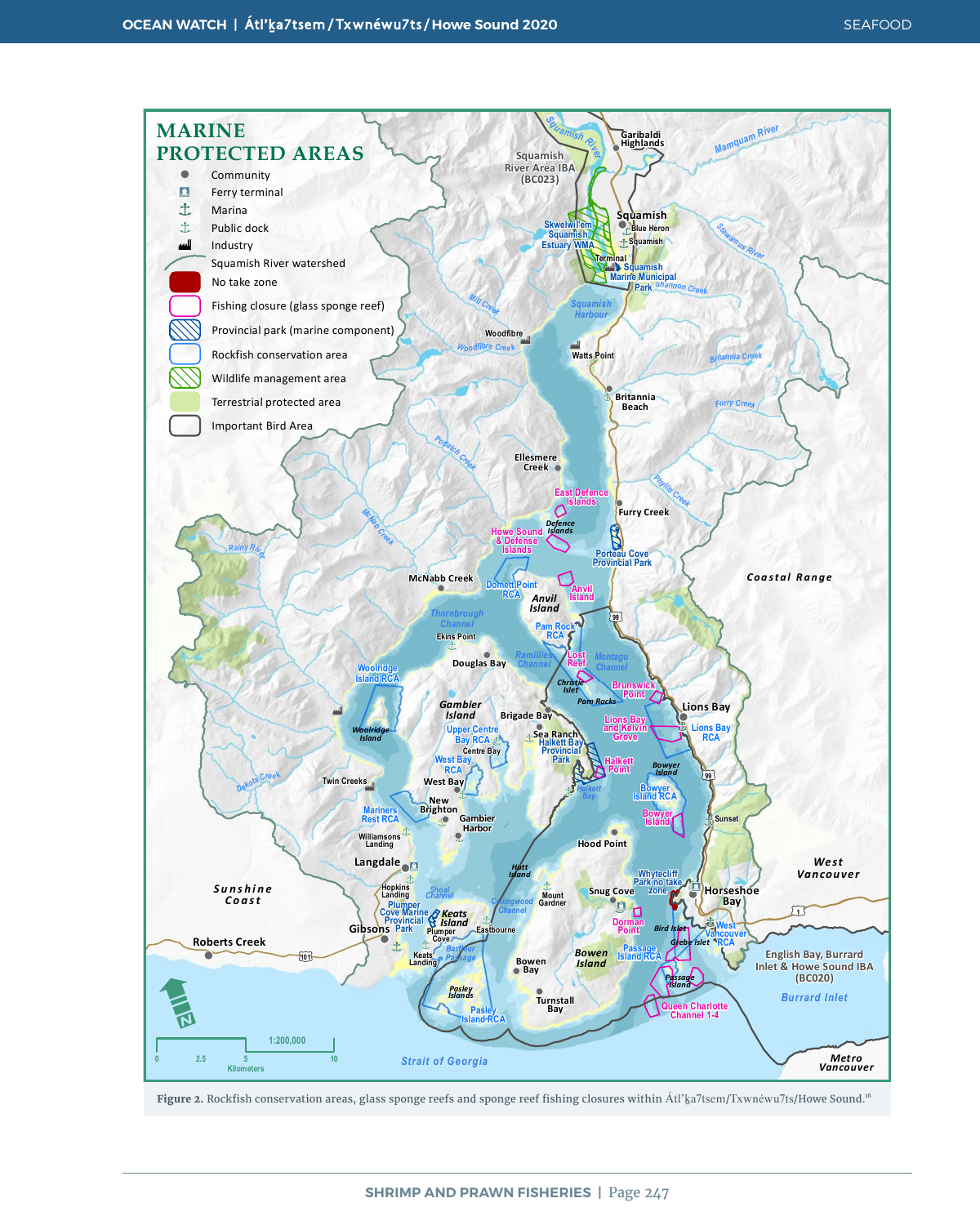

**Figure 2.** Rockfish conservation areas, glass sponge reefs and sponge reef fishing closures within Átl'ḵa7tsem/Txwnéwu7ts/Howe Sound.<sup>16</sup>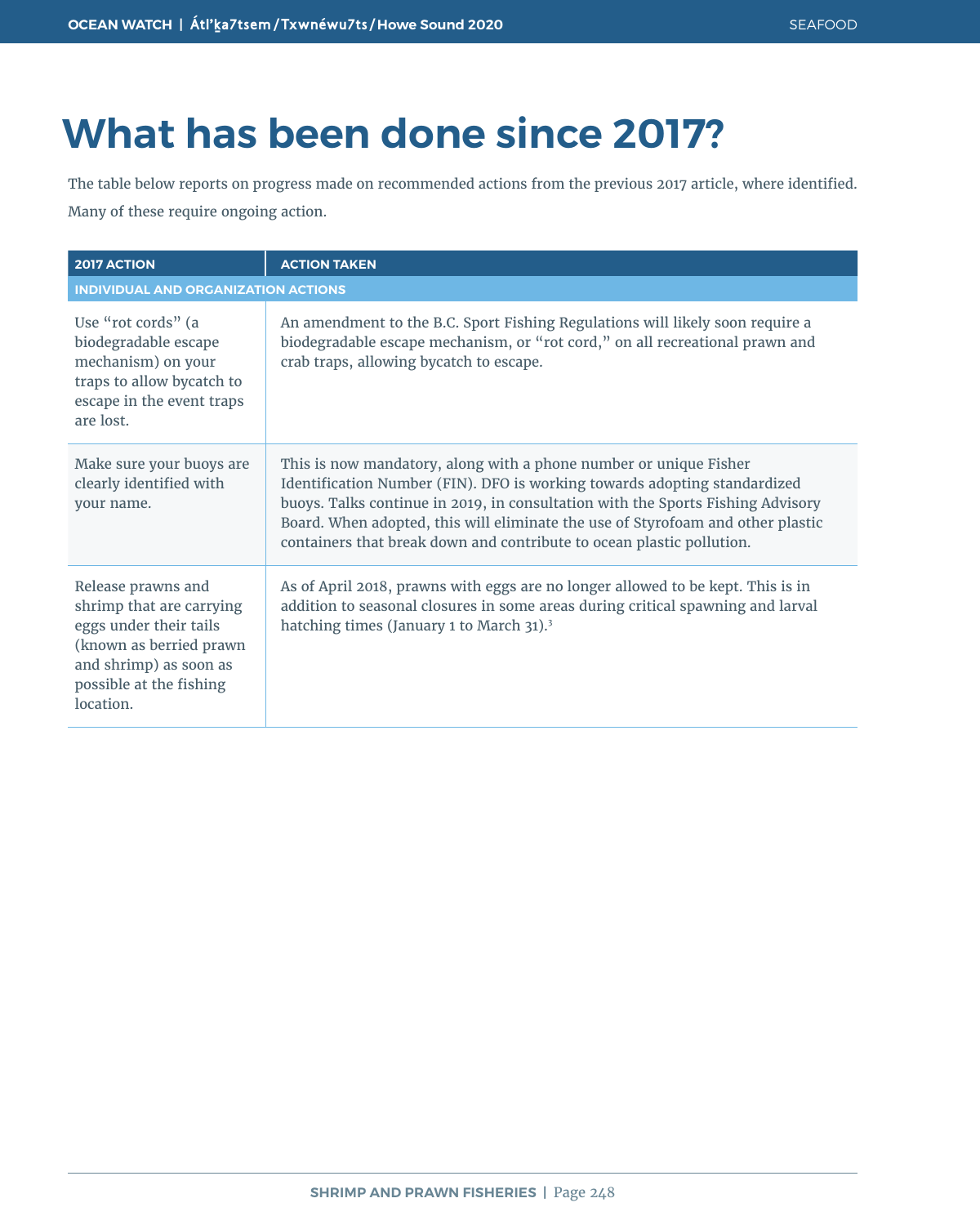# **What has been done since 2017?**

The table below reports on progress made on recommended actions from the previous 2017 article, where identified. Many of these require ongoing action.

| <b>2017 ACTION</b>                                                                                                                                                     | <b>ACTION TAKEN</b>                                                                                                                                                                                                                                                                                                                                                                           |  |
|------------------------------------------------------------------------------------------------------------------------------------------------------------------------|-----------------------------------------------------------------------------------------------------------------------------------------------------------------------------------------------------------------------------------------------------------------------------------------------------------------------------------------------------------------------------------------------|--|
| <b>INDIVIDUAL AND ORGANIZATION ACTIONS</b>                                                                                                                             |                                                                                                                                                                                                                                                                                                                                                                                               |  |
| Use "rot cords" (a<br>biodegradable escape<br>mechanism) on your<br>traps to allow bycatch to<br>escape in the event traps<br>are lost.                                | An amendment to the B.C. Sport Fishing Regulations will likely soon require a<br>biodegradable escape mechanism, or "rot cord," on all recreational prawn and<br>crab traps, allowing bycatch to escape.                                                                                                                                                                                      |  |
| Make sure your buoys are<br>clearly identified with<br>your name.                                                                                                      | This is now mandatory, along with a phone number or unique Fisher<br>Identification Number (FIN). DFO is working towards adopting standardized<br>buoys. Talks continue in 2019, in consultation with the Sports Fishing Advisory<br>Board. When adopted, this will eliminate the use of Styrofoam and other plastic<br>containers that break down and contribute to ocean plastic pollution. |  |
| Release prawns and<br>shrimp that are carrying<br>eggs under their tails<br>(known as berried prawn)<br>and shrimp) as soon as<br>possible at the fishing<br>location. | As of April 2018, prawns with eggs are no longer allowed to be kept. This is in<br>addition to seasonal closures in some areas during critical spawning and larval<br>hatching times (January 1 to March 31). <sup>3</sup>                                                                                                                                                                    |  |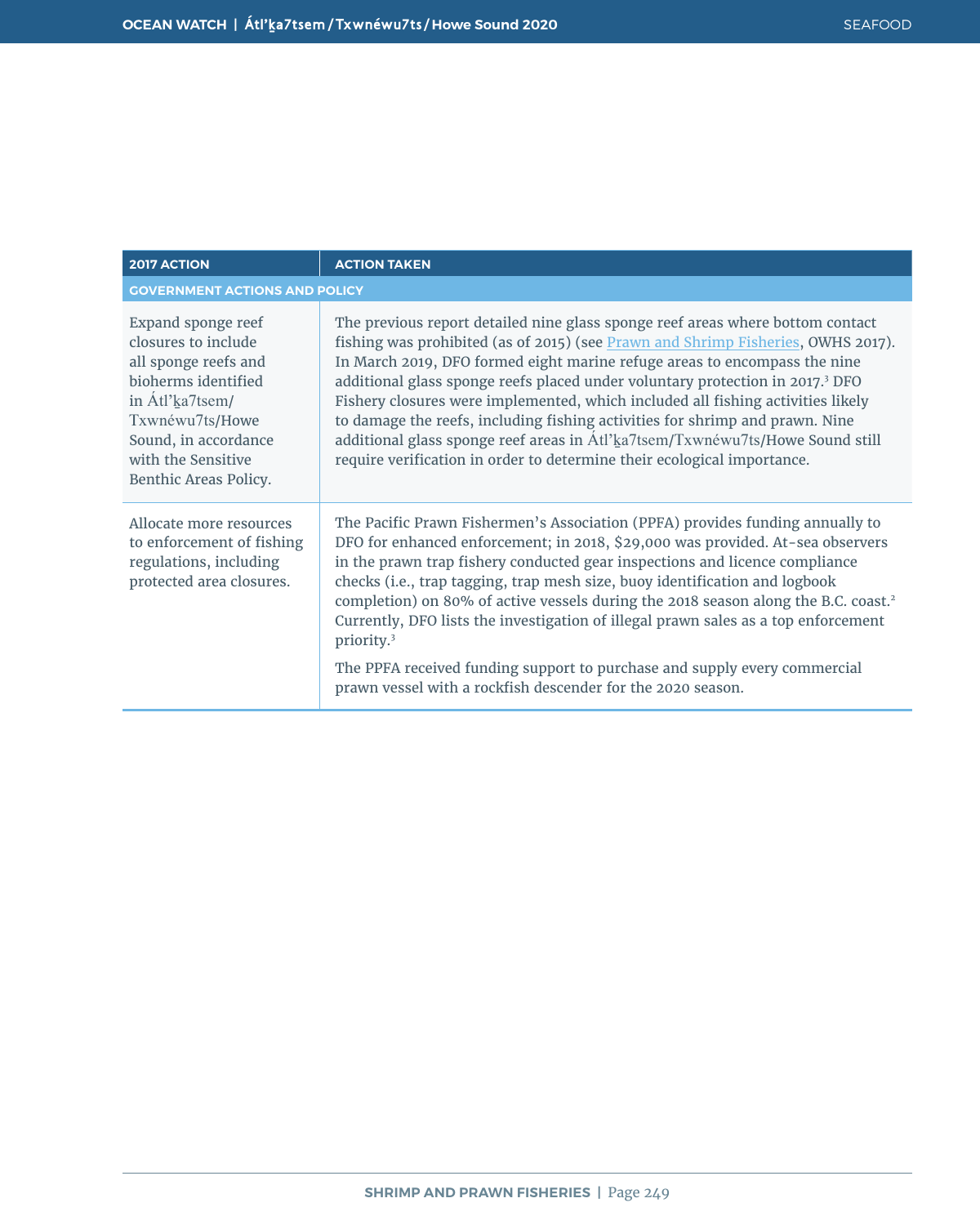| <b>2017 ACTION</b>                                                                                                                                                                                    | <b>ACTION TAKEN</b>                                                                                                                                                                                                                                                                                                                                                                                                                                                                                                                                                                                                                                                                         |
|-------------------------------------------------------------------------------------------------------------------------------------------------------------------------------------------------------|---------------------------------------------------------------------------------------------------------------------------------------------------------------------------------------------------------------------------------------------------------------------------------------------------------------------------------------------------------------------------------------------------------------------------------------------------------------------------------------------------------------------------------------------------------------------------------------------------------------------------------------------------------------------------------------------|
| <b>GOVERNMENT ACTIONS AND POLICY</b>                                                                                                                                                                  |                                                                                                                                                                                                                                                                                                                                                                                                                                                                                                                                                                                                                                                                                             |
| Expand sponge reef<br>closures to include<br>all sponge reefs and<br>bioherms identified<br>in Atl'ka7tsem/<br>Txwnéwu7ts/Howe<br>Sound, in accordance<br>with the Sensitive<br>Benthic Areas Policy. | The previous report detailed nine glass sponge reef areas where bottom contact<br>fishing was prohibited (as of 2015) (see Prawn and Shrimp Fisheries, OWHS 2017).<br>In March 2019, DFO formed eight marine refuge areas to encompass the nine<br>additional glass sponge reefs placed under voluntary protection in 2017. <sup>3</sup> DFO<br>Fishery closures were implemented, which included all fishing activities likely<br>to damage the reefs, including fishing activities for shrimp and prawn. Nine<br>additional glass sponge reef areas in Atl'ka7tsem/Txwnéwu7ts/Howe Sound still<br>require verification in order to determine their ecological importance.                 |
| Allocate more resources<br>to enforcement of fishing<br>regulations, including<br>protected area closures.                                                                                            | The Pacific Prawn Fishermen's Association (PPFA) provides funding annually to<br>DFO for enhanced enforcement; in 2018, \$29,000 was provided. At-sea observers<br>in the prawn trap fishery conducted gear inspections and licence compliance<br>checks (i.e., trap tagging, trap mesh size, buoy identification and logbook<br>completion) on 80% of active vessels during the 2018 season along the B.C. coast. <sup>2</sup><br>Currently, DFO lists the investigation of illegal prawn sales as a top enforcement<br>priority. <sup>3</sup><br>The PPFA received funding support to purchase and supply every commercial<br>prawn vessel with a rockfish descender for the 2020 season. |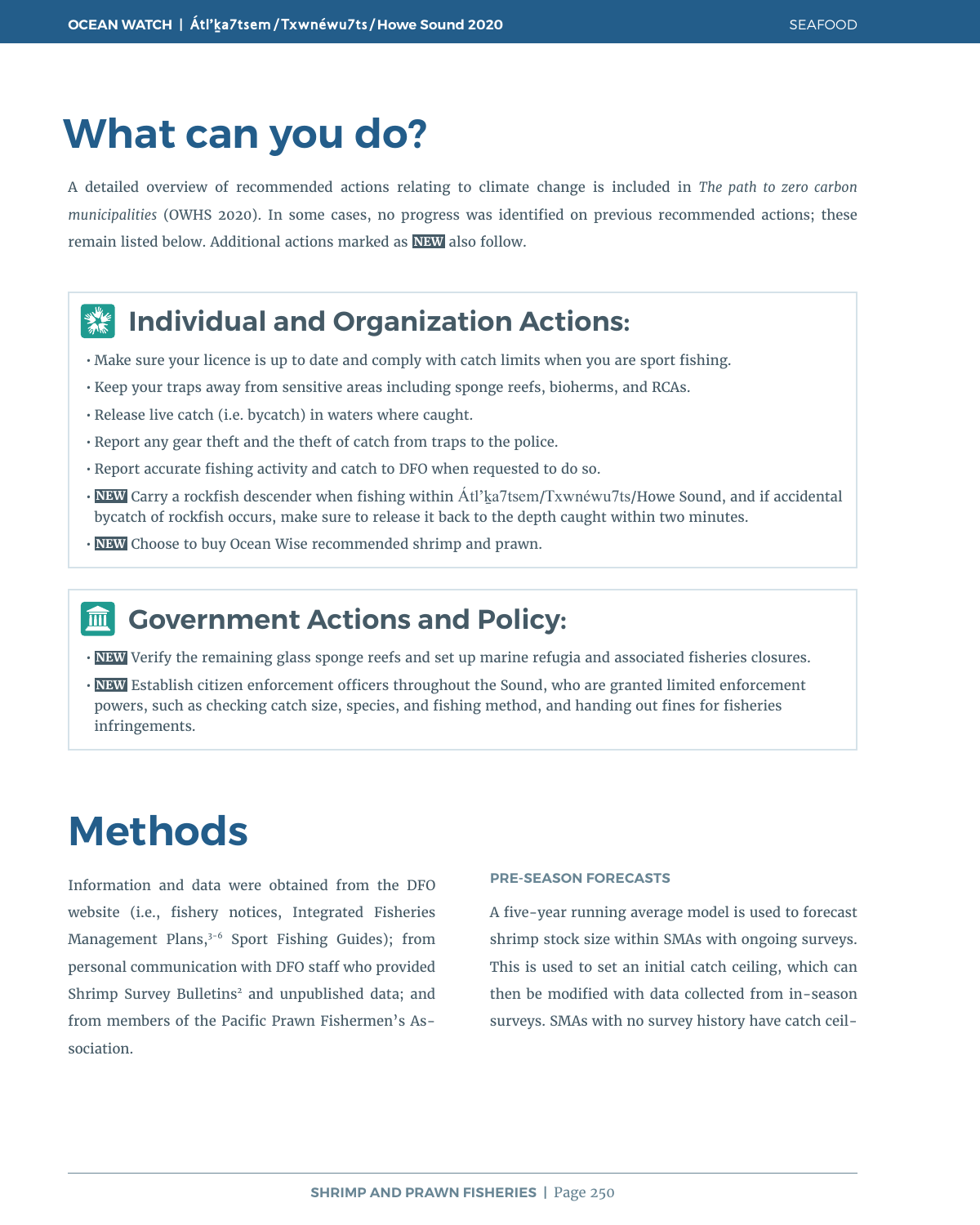# **What can you do?**

A detailed overview of recommended actions relating to climate change is included in *The path to zero carbon municipalities* (OWHS 2020). In some cases, no progress was identified on previous recommended actions; these remain listed below. Additional actions marked as **NEW** also follow.

#### **Individual and Organization Actions:**  $\frac{d}{dx}$

- Make sure your licence is up to date and comply with catch limits when you are sport fishing.
- Keep your traps away from sensitive areas including sponge reefs, bioherms, and RCAs.
- Release live catch (i.e. bycatch) in waters where caught.
- Report any gear theft and the theft of catch from traps to the police.
- Report accurate fishing activity and catch to DFO when requested to do so.
- **NEW** Carry a rockfish descender when fishing within Átl'ḵa7tsem/Txwnéwu7ts/Howe Sound, and if accidental bycatch of rockfish occurs, make sure to release it back to the depth caught within two minutes.
- **NEW** Choose to buy Ocean Wise recommended shrimp and prawn.

#### **Government Actions and Policy:**  $\overline{\mathbf{m}}$

- **NEW** Verify the remaining glass sponge reefs and set up marine refugia and associated fisheries closures.
- **NEW** Establish citizen enforcement officers throughout the Sound, who are granted limited enforcement powers, such as checking catch size, species, and fishing method, and handing out fines for fisheries infringements.

### **Methods**

Information and data were obtained from the DFO website (i.e., fishery notices, Integrated Fisheries Management Plans,<sup>3-6</sup> Sport Fishing Guides); from personal communication with DFO staff who provided Shrimp Survey Bulletins<sup>2</sup> and unpublished data; and from members of the Pacific Prawn Fishermen's Association.

#### **PRE-SEASON FORECASTS**

A five-year running average model is used to forecast shrimp stock size within SMAs with ongoing surveys. This is used to set an initial catch ceiling, which can then be modified with data collected from in-season surveys. SMAs with no survey history have catch ceil